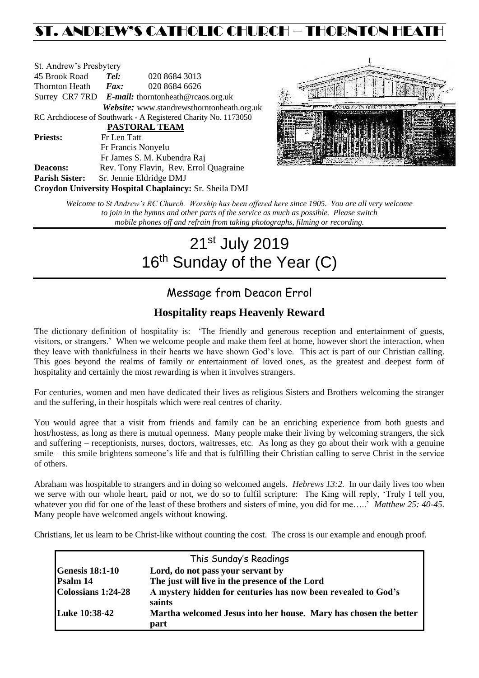# ST. ANDREW'S CATHOLIC CHURCH – THORNTON HEAT

| St. Andrew's Presbytery |                     |                                                                |  |
|-------------------------|---------------------|----------------------------------------------------------------|--|
| 45 Brook Road           | Tel:                | 020 8684 3013                                                  |  |
| Thornton Heath          | $\boldsymbol{Fax:}$ | 020 8684 6626                                                  |  |
|                         |                     | Surrey CR7 7RD $E$ -mail: thorntonheath@rcaos.org.uk           |  |
|                         |                     | Website: www.standrewsthorntonheath.org.uk                     |  |
|                         |                     | RC Archdiocese of Southwark - A Registered Charity No. 1173050 |  |
| PASTORAL TEAM           |                     |                                                                |  |
| <b>Priests:</b>         | Fr Len Tatt         |                                                                |  |
|                         |                     | Fr Francis Nonyelu                                             |  |
|                         |                     | Fr James S. M. Kubendra Raj                                    |  |
| <b>Deacons:</b>         |                     | Rev. Tony Flavin, Rev. Errol Quagraine                         |  |
| <b>Parish Sister:</b>   |                     | Sr. Jennie Eldridge DMJ                                        |  |
|                         |                     | Croydon University Hospital Chaplaincy: Sr. Sheila DMJ         |  |



*Welcome to St Andrew's RC Church. Worship has been offered here since 1905. You are all very welcome to join in the hymns and other parts of the service as much as possible. Please switch mobile phones off and refrain from taking photographs, filming or recording.*

# 21<sup>st</sup> July 2019 16<sup>th</sup> Sunday of the Year (C)

## Message from Deacon Errol

## **Hospitality reaps Heavenly Reward**

The dictionary definition of hospitality is: 'The friendly and generous reception and entertainment of guests, visitors, or strangers.' When we welcome people and make them feel at home, however short the interaction, when they leave with thankfulness in their hearts we have shown God's love. This act is part of our Christian calling. This goes beyond the realms of family or entertainment of loved ones, as the greatest and deepest form of hospitality and certainly the most rewarding is when it involves strangers.

For centuries, women and men have dedicated their lives as religious Sisters and Brothers welcoming the stranger and the suffering, in their hospitals which were real centres of charity.

You would agree that a visit from friends and family can be an enriching experience from both guests and host/hostess, as long as there is mutual openness. Many people make their living by welcoming strangers, the sick and suffering – receptionists, nurses, doctors, waitresses, etc. As long as they go about their work with a genuine smile – this smile brightens someone's life and that is fulfilling their Christian calling to serve Christ in the service of others.

Abraham was hospitable to strangers and in doing so welcomed angels. *Hebrews 13:2.* In our daily lives too when we serve with our whole heart, paid or not, we do so to fulfil scripture: The King will reply, 'Truly I tell you, whatever you did for one of the least of these brothers and sisters of mine, you did for me…..' *Matthew 25: 40-45.*  Many people have welcomed angels without knowing.

Christians, let us learn to be Christ-like without counting the cost. The cross is our example and enough proof.

| This Sunday's Readings |                                                                          |  |  |
|------------------------|--------------------------------------------------------------------------|--|--|
| <b>Genesis 18:1-10</b> | Lord, do not pass your servant by                                        |  |  |
| Psalm 14               | The just will live in the presence of the Lord                           |  |  |
| Colossians 1:24-28     | A mystery hidden for centuries has now been revealed to God's<br>saints  |  |  |
| Luke 10:38-42          | Martha welcomed Jesus into her house. Mary has chosen the better<br>part |  |  |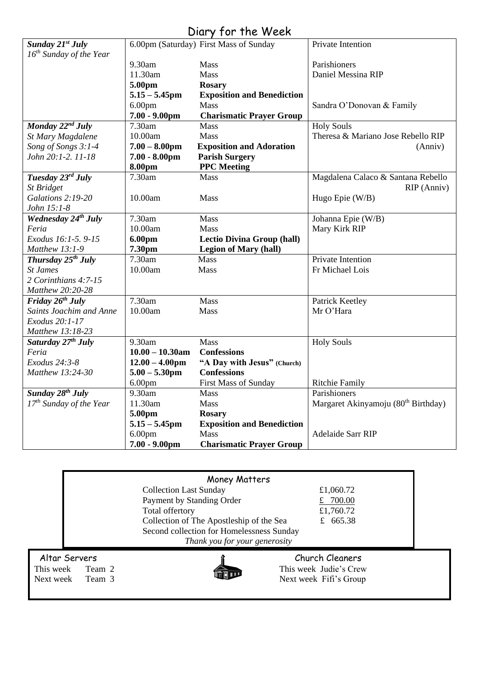| Diary for the Week |  |  |
|--------------------|--|--|
|--------------------|--|--|

| Sunday 21st July                |                    | $1011$ , $1011101$                     | Private Intention                               |
|---------------------------------|--------------------|----------------------------------------|-------------------------------------------------|
| $16^{th}$ Sunday of the Year    |                    | 6.00pm (Saturday) First Mass of Sunday |                                                 |
|                                 |                    |                                        |                                                 |
|                                 | 9.30am             | Mass                                   | Parishioners                                    |
|                                 | 11.30am            | <b>Mass</b>                            | Daniel Messina RIP                              |
|                                 | 5.00pm             | <b>Rosary</b>                          |                                                 |
|                                 | $5.15 - 5.45$ pm   | <b>Exposition and Benediction</b>      |                                                 |
|                                 | 6.00 <sub>pm</sub> | <b>Mass</b>                            | Sandra O'Donovan & Family                       |
|                                 | $7.00 - 9.00$ pm   | <b>Charismatic Prayer Group</b>        |                                                 |
| Monday $22^{nd}$ July           | 7.30am             | <b>Mass</b>                            | <b>Holy Souls</b>                               |
| St Mary Magdalene               | 10.00am            | Mass                                   | Theresa & Mariano Jose Rebello RIP              |
| Song of Songs 3:1-4             | $7.00 - 8.00$ pm   | <b>Exposition and Adoration</b>        | (Anniv)                                         |
| John 20:1-2, 11-18              | $7.00 - 8.00$ pm   | <b>Parish Surgery</b>                  |                                                 |
|                                 | 8.00pm             | <b>PPC</b> Meeting                     |                                                 |
| Tuesday 23rd July               | 7.30am             | <b>Mass</b>                            | Magdalena Calaco & Santana Rebello              |
| St Bridget                      |                    |                                        | RIP (Anniv)                                     |
| Galations 2:19-20               | 10.00am            | Mass                                   | Hugo Epie (W/B)                                 |
| John 15:1-8                     |                    |                                        |                                                 |
| Wednesday 24 <sup>th</sup> July | 7.30am             | Mass                                   | Johanna Epie (W/B)                              |
| Feria                           | 10.00am            | <b>Mass</b>                            | Mary Kirk RIP                                   |
| Exodus 16:1-5. 9-15             | 6.00pm             | <b>Lectio Divina Group (hall)</b>      |                                                 |
| Matthew 13:1-9                  | 7.30pm             | <b>Legion of Mary (hall)</b>           |                                                 |
| Thursday 25 <sup>th</sup> July  | 7.30am             | <b>Mass</b>                            | Private Intention                               |
| <b>St James</b>                 | 10.00am            | <b>Mass</b>                            | Fr Michael Lois                                 |
| 2 Corinthians 4:7-15            |                    |                                        |                                                 |
| Matthew 20:20-28                |                    |                                        |                                                 |
| Friday 26th July                | 7.30am             | Mass                                   | Patrick Keetley                                 |
| Saints Joachim and Anne         | 10.00am            | Mass                                   | Mr O'Hara                                       |
| Exodus 20:1-17                  |                    |                                        |                                                 |
| Matthew 13:18-23                |                    |                                        |                                                 |
| Saturday 27 <sup>th</sup> July  | 9.30am             | Mass                                   | <b>Holy Souls</b>                               |
| Feria                           | $10.00 - 10.30$ am | <b>Confessions</b>                     |                                                 |
| Exodus 24:3-8                   | $12.00 - 4.00$ pm  | "A Day with Jesus" (Church)            |                                                 |
| Matthew 13:24-30                | $5.00 - 5.30$ pm   | <b>Confessions</b>                     |                                                 |
|                                 |                    |                                        |                                                 |
|                                 | 6.00 <sub>pm</sub> | First Mass of Sunday                   | <b>Ritchie Family</b>                           |
| Sunday 28 <sup>th</sup> July    | 9.30am             | Mass                                   | Parishioners                                    |
| $17th$ Sunday of the Year       | 11.30am            | Mass                                   | Margaret Akinyamoju (80 <sup>th</sup> Birthday) |
|                                 | 5.00pm             | <b>Rosary</b>                          |                                                 |
|                                 | $5.15 - 5.45$ pm   | <b>Exposition and Benediction</b>      |                                                 |
|                                 | 6.00 <sub>pm</sub> | Mass                                   | Adelaide Sarr RIP                               |
|                                 | $7.00 - 9.00$ pm   | <b>Charismatic Prayer Group</b>        |                                                 |

|                                                             | Money Matters                                                                                                                                                          |                                                                     |
|-------------------------------------------------------------|------------------------------------------------------------------------------------------------------------------------------------------------------------------------|---------------------------------------------------------------------|
|                                                             | <b>Collection Last Sunday</b><br>Payment by Standing Order<br>Total offertory<br>Collection of The Apostleship of the Sea<br>Second collection for Homelessness Sunday | £1,060.72<br>700.00<br>£1,760.72<br>£ 665.38                        |
| Altar Servers<br>This week<br>Team 2<br>Next week<br>Team 3 | Thank you for your generosity                                                                                                                                          | Church Cleaners<br>This week Judie's Crew<br>Next week Fifi's Group |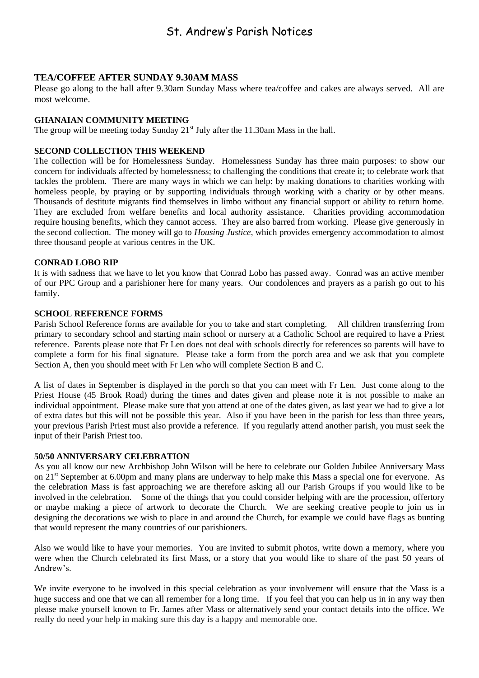## St. Andrew's Parish Notices

#### **TEA/COFFEE AFTER SUNDAY 9.30AM MASS**

Please go along to the hall after 9.30am Sunday Mass where tea/coffee and cakes are always served. All are most welcome.

#### **GHANAIAN COMMUNITY MEETING**

The group will be meeting today Sunday  $21<sup>st</sup>$  July after the 11.30am Mass in the hall.

#### **SECOND COLLECTION THIS WEEKEND**

The collection will be for Homelessness Sunday. Homelessness Sunday has three main purposes: to show our concern for individuals affected by homelessness; to challenging the conditions that create it; to celebrate work that tackles the problem. There are many ways in which we can help: by making donations to charities working with homeless people, by praying or by supporting individuals through working with a charity or by other means. Thousands of destitute migrants find themselves in limbo without any financial support or ability to return home. They are excluded from welfare benefits and local authority assistance. Charities providing accommodation require housing benefits, which they cannot access. They are also barred from working. Please give generously in the second collection. The money will go to *Housing Justice*, which provides emergency accommodation to almost three thousand people at various centres in the UK.

#### **CONRAD LOBO RIP**

It is with sadness that we have to let you know that Conrad Lobo has passed away. Conrad was an active member of our PPC Group and a parishioner here for many years. Our condolences and prayers as a parish go out to his family.

#### **SCHOOL REFERENCE FORMS**

Parish School Reference forms are available for you to take and start completing. All children transferring from primary to secondary school and starting main school or nursery at a Catholic School are required to have a Priest reference. Parents please note that Fr Len does not deal with schools directly for references so parents will have to complete a form for his final signature. Please take a form from the porch area and we ask that you complete Section A, then you should meet with Fr Len who will complete Section B and C.

A list of dates in September is displayed in the porch so that you can meet with Fr Len. Just come along to the Priest House (45 Brook Road) during the times and dates given and please note it is not possible to make an individual appointment. Please make sure that you attend at one of the dates given, as last year we had to give a lot of extra dates but this will not be possible this year. Also if you have been in the parish for less than three years, your previous Parish Priest must also provide a reference. If you regularly attend another parish, you must seek the input of their Parish Priest too.

#### **50/50 ANNIVERSARY CELEBRATION**

As you all know our new Archbishop John Wilson will be here to celebrate our Golden Jubilee Anniversary Mass on 21st September at 6.00pm and many plans are underway to help make this Mass a special one for everyone. As the celebration Mass is fast approaching we are therefore asking all our Parish Groups if you would like to be involved in the celebration. Some of the things that you could consider helping with are the procession, offertory or maybe making a piece of artwork to decorate the Church. We are seeking creative people to join us in designing the decorations we wish to place in and around the Church, for example we could have flags as bunting that would represent the many countries of our parishioners.

Also we would like to have your memories. You are invited to submit photos, write down a memory, where you were when the Church celebrated its first Mass, or a story that you would like to share of the past 50 years of Andrew's.

We invite everyone to be involved in this special celebration as your involvement will ensure that the Mass is a huge success and one that we can all remember for a long time. If you feel that you can help us in in any way then please make yourself known to Fr. James after Mass or alternatively send your contact details into the office. We really do need your help in making sure this day is a happy and memorable one.